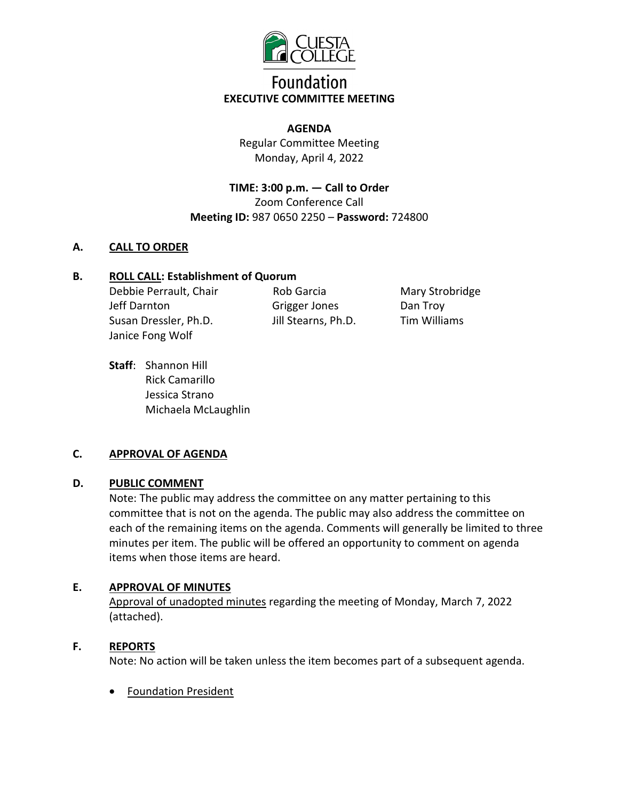

# **Foundation EXECUTIVE COMMITTEE MEETING**

#### **AGENDA**

Regular Committee Meeting Monday, April 4, 2022

**TIME: 3:00 p.m. — Call to Order**  Zoom Conference Call **Meeting ID:** 987 0650 2250 – **Password:** 724800

### **A. CALL TO ORDER**

#### **B. ROLL CALL: Establishment of Quorum**

Debbie Perrault, Chair Jeff Darnton Susan Dressler, Ph.D. Janice Fong Wolf

Rob Garcia Grigger Jones Jill Stearns, Ph.D.

Mary Strobridge Dan Troy Tim Williams

**Staff**: Shannon Hill Rick Camarillo Jessica Strano Michaela McLaughlin

### **C. APPROVAL OF AGENDA**

### **D. PUBLIC COMMENT**

Note: The public may address the committee on any matter pertaining to this committee that is not on the agenda. The public may also address the committee on each of the remaining items on the agenda. Comments will generally be limited to three minutes per item. The public will be offered an opportunity to comment on agenda items when those items are heard.

### **E. APPROVAL OF MINUTES**

Approval of unadopted minutes regarding the meeting of Monday, March 7, 2022 (attached).

### **F. REPORTS**

Note: No action will be taken unless the item becomes part of a subsequent agenda.

• Foundation President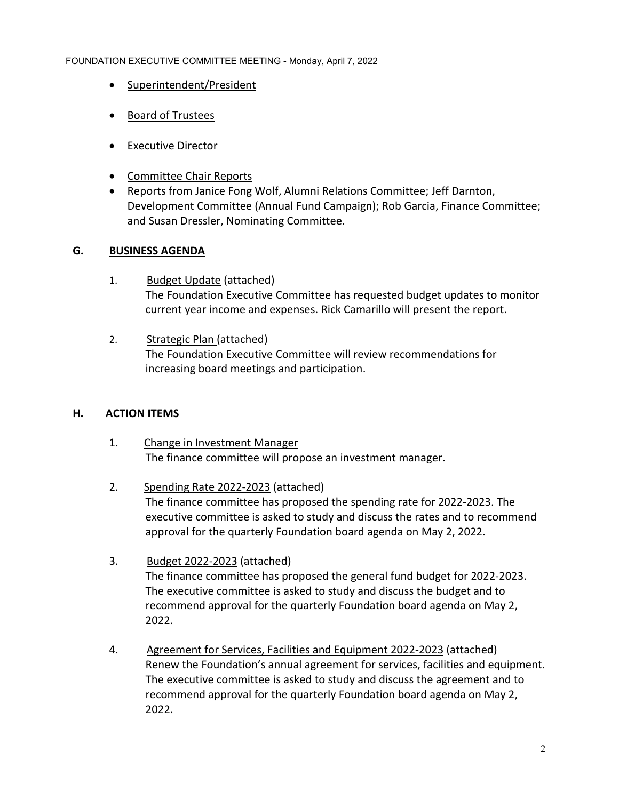#### FOUNDATION EXECUTIVE COMMITTEE MEETING - Monday, April 7, 2022

- Superintendent/President
- Board of Trustees
- Executive Director
- Committee Chair Reports
- Reports from Janice Fong Wolf, Alumni Relations Committee; Jeff Darnton, Development Committee (Annual Fund Campaign); Rob Garcia, Finance Committee; and Susan Dressler, Nominating Committee.

### **G. BUSINESS AGENDA**

- 1. Budget Update (attached) The Foundation Executive Committee has requested budget updates to monitor current year income and expenses. Rick Camarillo will present the report.
- 2. Strategic Plan (attached) The Foundation Executive Committee will review recommendations for increasing board meetings and participation.

### **H. ACTION ITEMS**

- 1. Change in Investment Manager The finance committee will propose an investment manager.
- 2. Spending Rate 2022-2023 (attached) The finance committee has proposed the spending rate for 2022-2023. The executive committee is asked to study and discuss the rates and to recommend approval for the quarterly Foundation board agenda on May 2, 2022.
- 3. Budget 2022-2023 (attached) The finance committee has proposed the general fund budget for 2022-2023. The executive committee is asked to study and discuss the budget and to recommend approval for the quarterly Foundation board agenda on May 2, 2022.
- 4. Agreement for Services, Facilities and Equipment 2022-2023 (attached) Renew the Foundation's annual agreement for services, facilities and equipment. The executive committee is asked to study and discuss the agreement and to recommend approval for the quarterly Foundation board agenda on May 2, 2022.